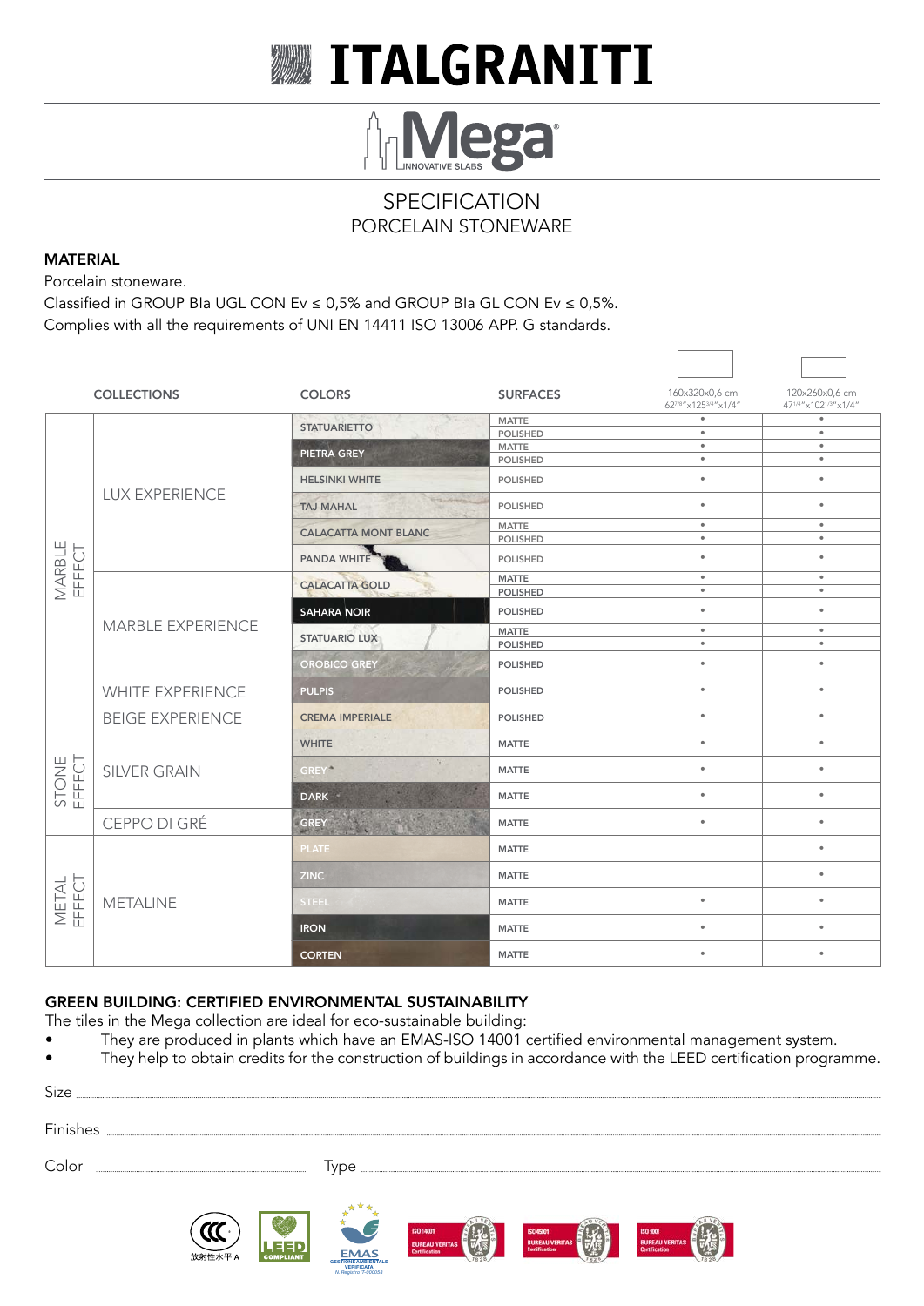# WITALGRANITI



### **SPECIFICATION** PORCELAIN STONEWARE

#### MATERIAL

Porcelain stoneware.

Classified in GROUP BIa UGL CON Ev  $\leq$  0,5% and GROUP BIa GL CON Ev  $\leq$  0,5%. Complies with all the requirements of UNI EN 14411 ISO 13006 APP. G standards.

|                         | <b>COLLECTIONS</b>      | <b>COLORS</b>                                                                                                                                                                                                                                                                                                                                                                                                                                                                            | <b>SURFACES</b> | 160x320x0,6 cm<br>627/8"x1253/4"x1/4" | 120x260x0,6 cm<br>471/4"x1021/3"x1/4" |
|-------------------------|-------------------------|------------------------------------------------------------------------------------------------------------------------------------------------------------------------------------------------------------------------------------------------------------------------------------------------------------------------------------------------------------------------------------------------------------------------------------------------------------------------------------------|-----------------|---------------------------------------|---------------------------------------|
| <b>MARBLE</b><br>EFFECT | <b>LUX EXPERIENCE</b>   | $\label{eq:1} \frac{\partial \mathcal{L}_{\mathcal{A}}}{\partial \mathcal{L}_{\mathcal{A}}}\mathcal{L}_{\mathcal{A}}\mathcal{L}_{\mathcal{A}}\mathcal{L}_{\mathcal{A}}\mathcal{L}_{\mathcal{A}}\mathcal{L}_{\mathcal{A}}\mathcal{L}_{\mathcal{A}}\mathcal{L}_{\mathcal{A}}\mathcal{L}_{\mathcal{A}}\mathcal{L}_{\mathcal{A}}\mathcal{L}_{\mathcal{A}}\mathcal{L}_{\mathcal{A}}\mathcal{L}_{\mathcal{A}}\mathcal{L}_{\mathcal{A}}\mathcal{L}_{\mathcal{A}}\mathcal{L}_{\mathcal{A}}\math$ | <b>MATTE</b>    | $\bullet$                             | $\bullet$                             |
|                         |                         | <b>STATUARIETTO</b><br>137                                                                                                                                                                                                                                                                                                                                                                                                                                                               | <b>POLISHED</b> | $\bullet$                             | $\bullet$                             |
|                         |                         | <b>PIETRA GREY</b>                                                                                                                                                                                                                                                                                                                                                                                                                                                                       | <b>MATTE</b>    | $\bullet$                             | $\bullet$                             |
|                         |                         |                                                                                                                                                                                                                                                                                                                                                                                                                                                                                          | <b>POLISHED</b> | $\bullet$                             | $\bullet$                             |
|                         |                         | <b>HELSINKI WHITE</b>                                                                                                                                                                                                                                                                                                                                                                                                                                                                    | <b>POLISHED</b> | $\bullet$                             | $\bullet$                             |
|                         |                         | <b>TAJ MAHAL</b>                                                                                                                                                                                                                                                                                                                                                                                                                                                                         | <b>POLISHED</b> | $\bullet$                             | $\bullet$                             |
|                         |                         | <b>CALACATTA MONT BLANC</b>                                                                                                                                                                                                                                                                                                                                                                                                                                                              | <b>MATTE</b>    | $\bullet$                             | $\bullet$                             |
|                         |                         |                                                                                                                                                                                                                                                                                                                                                                                                                                                                                          | <b>POLISHED</b> | $\bullet$                             | $\bullet$                             |
|                         |                         | PANDA WHITE                                                                                                                                                                                                                                                                                                                                                                                                                                                                              | POLISHED        | $\bullet$                             | $\bullet$                             |
|                         |                         | <b>CALACATTA GOLD</b>                                                                                                                                                                                                                                                                                                                                                                                                                                                                    | <b>MATTE</b>    | $\bullet$                             | $\bullet$                             |
|                         |                         |                                                                                                                                                                                                                                                                                                                                                                                                                                                                                          | <b>POLISHED</b> | $\bullet$                             | $\bullet$                             |
|                         | MARBLE EXPERIENCE       | <b>SAHARA NOIR</b>                                                                                                                                                                                                                                                                                                                                                                                                                                                                       | <b>POLISHED</b> | $\bullet$                             | $\bullet$                             |
|                         |                         | <b>STATUARIO LUX</b>                                                                                                                                                                                                                                                                                                                                                                                                                                                                     | <b>MATTE</b>    | $\bullet$                             | $\bullet$                             |
|                         |                         |                                                                                                                                                                                                                                                                                                                                                                                                                                                                                          | <b>POLISHED</b> | $\bullet$                             | $\bullet$                             |
|                         |                         | <b>OROBICO GREY</b>                                                                                                                                                                                                                                                                                                                                                                                                                                                                      | <b>POLISHED</b> | $\bullet$                             | $\bullet$                             |
|                         | <b>WHITE EXPERIENCE</b> | <b>PULPIS</b>                                                                                                                                                                                                                                                                                                                                                                                                                                                                            | <b>POLISHED</b> | $\bullet$                             | $\bullet$                             |
|                         | <b>BEIGE EXPERIENCE</b> | <b>CREMA IMPERIALE</b>                                                                                                                                                                                                                                                                                                                                                                                                                                                                   | <b>POLISHED</b> | $\bullet$                             | $\bullet$                             |
|                         | <b>SILVER GRAIN</b>     | <b>WHITE</b>                                                                                                                                                                                                                                                                                                                                                                                                                                                                             | <b>MATTE</b>    | $\bullet$                             | $\bullet$                             |
| STONE<br>EFFECT         |                         | N.<br><b>GREY</b>                                                                                                                                                                                                                                                                                                                                                                                                                                                                        | <b>MATTE</b>    | $\bullet$                             | $\bullet$                             |
|                         |                         | <b>DARK</b>                                                                                                                                                                                                                                                                                                                                                                                                                                                                              | <b>MATTE</b>    | $\bullet$                             | $\bullet$                             |
|                         | CEPPO DI GRÉ            | 「ほっかっと<br><b>GREY</b>                                                                                                                                                                                                                                                                                                                                                                                                                                                                    | <b>MATTE</b>    | $\bullet$                             | $\bullet$                             |
|                         | <b>METALINE</b>         | <b>PLATE</b>                                                                                                                                                                                                                                                                                                                                                                                                                                                                             | <b>MATTE</b>    |                                       | $\bullet$                             |
| <b>METAL</b><br>EFFECT  |                         | <b>ZINC</b>                                                                                                                                                                                                                                                                                                                                                                                                                                                                              | <b>MATTE</b>    |                                       | $\bullet$                             |
|                         |                         | <b>STEEL</b>                                                                                                                                                                                                                                                                                                                                                                                                                                                                             | <b>MATTE</b>    | $\bullet$                             | $\bullet$                             |
|                         |                         | <b>IRON</b>                                                                                                                                                                                                                                                                                                                                                                                                                                                                              | <b>MATTE</b>    | $\bullet$                             | $\bullet$                             |
|                         |                         | <b>CORTEN</b>                                                                                                                                                                                                                                                                                                                                                                                                                                                                            | <b>MATTE</b>    | ٠                                     | $\bullet$                             |

#### GREEN BUILDING: CERTIFIED ENVIRONMENTAL SUSTAINABILITY

The tiles in the Mega collection are ideal for eco-sustainable building:

- They are produced in plants which have an EMAS-ISO 14001 certified environmental management system.
- They help to obtain credits for the construction of buildings in accordance with the LEED certification programme.

| Size     |  |
|----------|--|
| Finishes |  |
| Color    |  |









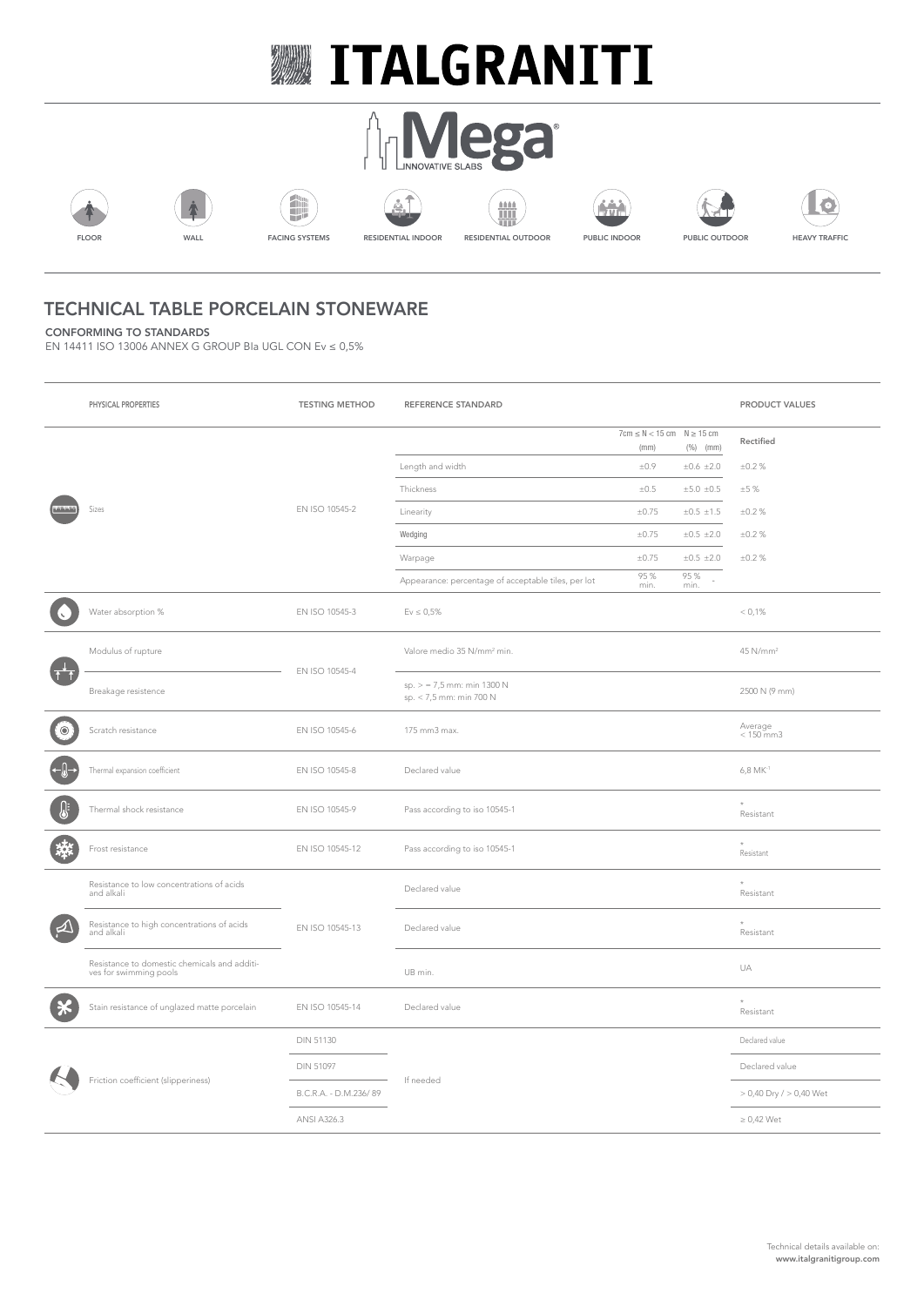# **WEITALGRANITI**

















### TECHNICAL TABLE PORCELAIN STONEWARE

CONFORMING TO STANDARDS

EN 14411 ISO 13006 ANNEX G GROUP BIa UGL CON Ev ≤ 0,5%

|           | PHYSICAL PROPERTIES                                               | <b>TESTING METHOD</b> | REFERENCE STANDARD                                    |                                           |                   | PRODUCT VALUES              |
|-----------|-------------------------------------------------------------------|-----------------------|-------------------------------------------------------|-------------------------------------------|-------------------|-----------------------------|
|           |                                                                   |                       |                                                       | $7cm \le N < 15 cm$ $N \ge 15 cm$<br>(mm) | $(%)$ (mm)        | Rectified                   |
|           |                                                                   |                       | Length and width                                      | $\pm 0.9$                                 | ±0.6 ±2.0         | $\pm 0.2$ %                 |
|           |                                                                   |                       | Thickness                                             | $\pm 0.5$                                 | ±5.0±0.5          | ±5%                         |
|           | Sizes                                                             | EN ISO 10545-2        | Linearity                                             | $\pm 0.75$                                | $\pm 0.5 \pm 1.5$ | ±0.2%                       |
|           |                                                                   |                       | Wedging                                               | $\pm 0.75$                                | ±0.5 ±2.0         | ±0.2%                       |
|           |                                                                   |                       | Warpage                                               | $\pm 0.75$                                | ±0.5 ±2.0         | $\pm 0.2 \%$                |
|           |                                                                   |                       | Appearance: percentage of acceptable tiles, per lot   | 95 %<br>min.                              | 95 %<br>min.      |                             |
|           | Water absorption %                                                | EN ISO 10545-3        | $Ev \le 0.5\%$                                        |                                           |                   | < 0.1%                      |
|           | Modulus of rupture                                                |                       | Valore medio 35 N/mm <sup>2</sup> min.                |                                           |                   | 45 N/mm <sup>2</sup>        |
|           | Breakage resistence                                               | EN ISO 10545-4        | $sp. > 7.5$ mm: min 1300 N<br>sp. < 7,5 mm: min 700 N |                                           |                   | 2500 N (9 mm)               |
| $\bullet$ | Scratch resistance                                                | EN ISO 10545-6        | 175 mm3 max.                                          |                                           |                   | Average $<$ 150 mm3         |
|           | Thermal expansion coefficient                                     | EN ISO 10545-8        | Declared value                                        |                                           |                   | $6,8$ MK $^{-1}$            |
|           | Thermal shock resistance                                          | EN ISO 10545-9        | Pass according to iso 10545-1                         |                                           |                   | Resistant                   |
|           | Frost resistance                                                  | EN ISO 10545-12       | Pass according to iso 10545-1                         |                                           |                   | Resistant                   |
|           | Resistance to low concentrations of acids<br>and alkali           |                       | Declared value                                        |                                           |                   | Resistant                   |
|           | Resistance to high concentrations of acids<br>and alkali          | EN ISO 10545-13       | Declared value                                        |                                           |                   | Resistant                   |
|           | Resistance to domestic chemicals and additives for swimming pools |                       | UB min.                                               |                                           |                   | UA                          |
|           | Stain resistance of unglazed matte porcelain                      | EN ISO 10545-14       | Declared value                                        |                                           |                   | $\star$<br>Resistant        |
|           | Friction coefficient (slipperiness)                               | <b>DIN 51130</b>      |                                                       |                                           |                   | Declared value              |
|           |                                                                   | <b>DIN 51097</b>      |                                                       |                                           |                   | Declared value              |
|           |                                                                   | B.C.R.A. - D.M.236/89 | If needed                                             |                                           |                   | $> 0,40$ Dry $/ > 0,40$ Wet |
|           |                                                                   | <b>ANSI A326.3</b>    |                                                       |                                           |                   | $\geq 0.42$ Wet             |
|           |                                                                   |                       |                                                       |                                           |                   |                             |